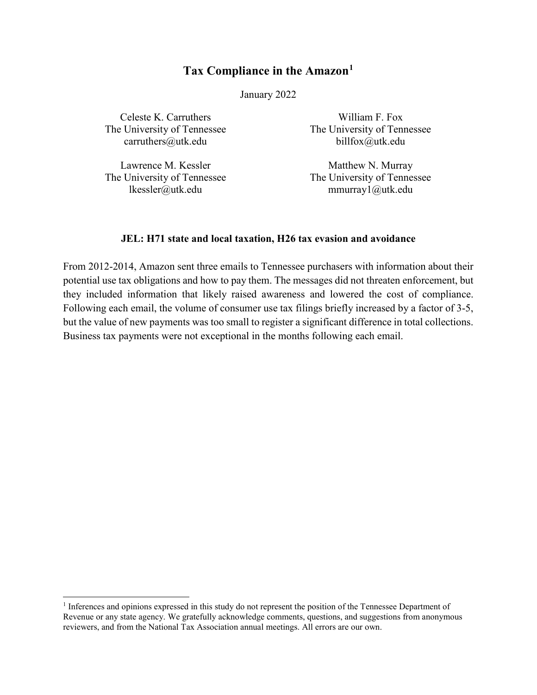# **Tax Compliance in the Amazon[1](#page-0-0)**

January 2022

Celeste K. Carruthers The University of Tennessee carruthers@utk.edu

Lawrence M. Kessler The University of Tennessee lkessler@utk.edu

l

William F. Fox The University of Tennessee billfox@utk.edu

Matthew N. Murray The University of Tennessee mmurray1@utk.edu

# **JEL: H71 state and local taxation, H26 tax evasion and avoidance**

From 2012-2014, Amazon sent three emails to Tennessee purchasers with information about their potential use tax obligations and how to pay them. The messages did not threaten enforcement, but they included information that likely raised awareness and lowered the cost of compliance. Following each email, the volume of consumer use tax filings briefly increased by a factor of 3-5, but the value of new payments was too small to register a significant difference in total collections. Business tax payments were not exceptional in the months following each email.

<span id="page-0-0"></span><sup>&</sup>lt;sup>1</sup> Inferences and opinions expressed in this study do not represent the position of the Tennessee Department of Revenue or any state agency. We gratefully acknowledge comments, questions, and suggestions from anonymous reviewers, and from the National Tax Association annual meetings. All errors are our own.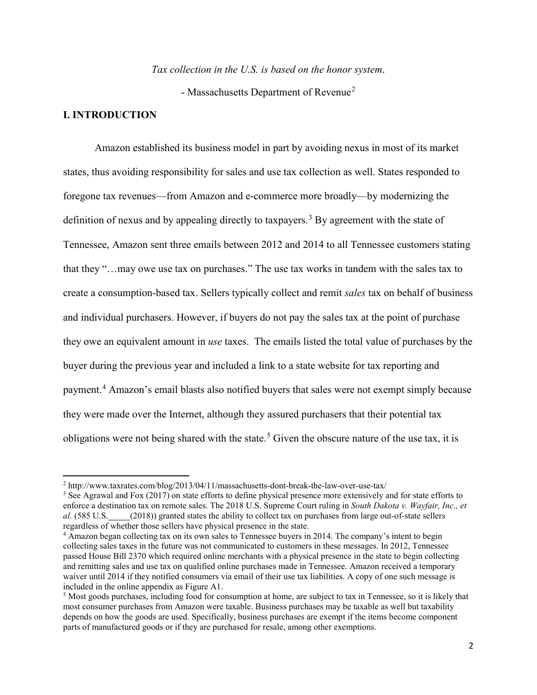*Tax collection in the U.S. is based on the honor system*.

- Massachusetts Department of Revenue<sup>[2](#page-1-0)</sup>

### **I. INTRODUCTION**

l

Amazon established its business model in part by avoiding nexus in most of its market states, thus avoiding responsibility for sales and use tax collection as well. States responded to foregone tax revenues—from Amazon and e-commerce more broadly—by modernizing the definition of nexus and by appealing directly to taxpayers.<sup>[3](#page-1-1)</sup> By agreement with the state of Tennessee, Amazon sent three emails between 2012 and 2014 to all Tennessee customers stating that they "…may owe use tax on purchases." The use tax works in tandem with the sales tax to create a consumption-based tax. Sellers typically collect and remit *sales* tax on behalf of business and individual purchasers. However, if buyers do not pay the sales tax at the point of purchase they owe an equivalent amount in *use* taxes. The emails listed the total value of purchases by the buyer during the previous year and included a link to a state website for tax reporting and payment. [4](#page-1-2) Amazon's email blasts also notified buyers that sales were not exempt simply because they were made over the Internet, although they assured purchasers that their potential tax obligations were not being shared with the state. [5](#page-1-3) Given the obscure nature of the use tax, it is

<span id="page-1-1"></span><span id="page-1-0"></span><sup>&</sup>lt;sup>2</sup> <http://www.taxrates.com/blog/2013/04/11/massachusetts-dont-break-the-law-over-use-tax/><br><sup>3</sup> See Agrawal and Fox (2017) on state efforts to define physical presence more extensively and for state efforts to enforce a destination tax on remote sales. The 2018 U.S. Supreme Court ruling in *South Dakota v. Wayfair, Inc., et al.* (585 U.S. (2018)) granted states the ability to collect tax on purchases from large out-of-state sellers regardless of whether those sellers have physical presence in the state.

<span id="page-1-2"></span><sup>&</sup>lt;sup>4</sup> Amazon began collecting tax on its own sales to Tennessee buyers in 2014. The company's intent to begin collecting sales taxes in the future was not communicated to customers in these messages. In 2012, Tennessee passed House Bill 2370 which required online merchants with a physical presence in the state to begin collecting and remitting sales and use tax on qualified online purchases made in Tennessee. Amazon received a temporary waiver until 2014 if they notified consumers via email of their use tax liabilities. A copy of one such message is included in the online appendix as Figure A1.

<span id="page-1-3"></span><sup>&</sup>lt;sup>5</sup> Most goods purchases, including food for consumption at home, are subject to tax in Tennessee, so it is likely that most consumer purchases from Amazon were taxable. Business purchases may be taxable as well but taxability depends on how the goods are used. Specifically, business purchases are exempt if the items become component parts of manufactured goods or if they are purchased for resale, among other exemptions.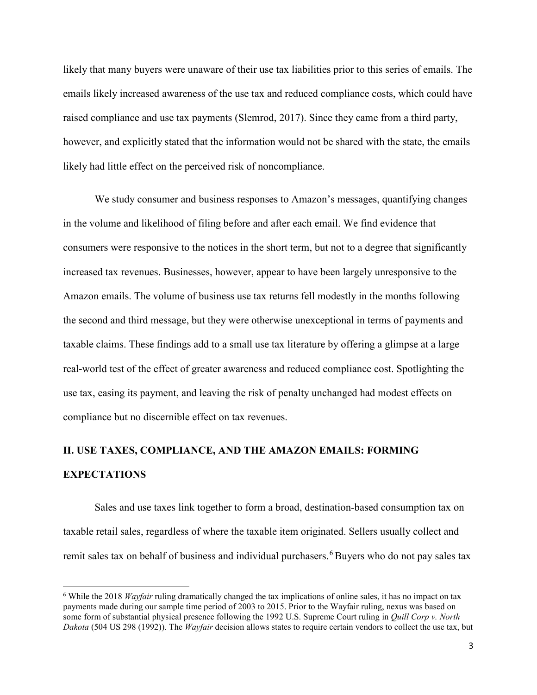likely that many buyers were unaware of their use tax liabilities prior to this series of emails. The emails likely increased awareness of the use tax and reduced compliance costs, which could have raised compliance and use tax payments (Slemrod, 2017). Since they came from a third party, however, and explicitly stated that the information would not be shared with the state, the emails likely had little effect on the perceived risk of noncompliance.

We study consumer and business responses to Amazon's messages, quantifying changes in the volume and likelihood of filing before and after each email. We find evidence that consumers were responsive to the notices in the short term, but not to a degree that significantly increased tax revenues. Businesses, however, appear to have been largely unresponsive to the Amazon emails. The volume of business use tax returns fell modestly in the months following the second and third message, but they were otherwise unexceptional in terms of payments and taxable claims. These findings add to a small use tax literature by offering a glimpse at a large real-world test of the effect of greater awareness and reduced compliance cost. Spotlighting the use tax, easing its payment, and leaving the risk of penalty unchanged had modest effects on compliance but no discernible effect on tax revenues.

# **II. USE TAXES, COMPLIANCE, AND THE AMAZON EMAILS: FORMING EXPECTATIONS**

l

Sales and use taxes link together to form a broad, destination-based consumption tax on taxable retail sales, regardless of where the taxable item originated. Sellers usually collect and remit sales tax on behalf of business and individual purchasers. [6](#page-2-0) Buyers who do not pay sales tax

<span id="page-2-0"></span><sup>6</sup> While the 2018 *Wayfair* ruling dramatically changed the tax implications of online sales, it has no impact on tax payments made during our sample time period of 2003 to 2015. Prior to the Wayfair ruling, nexus was based on some form of substantial physical presence following the 1992 U.S. Supreme Court ruling in *Quill Corp v. North Dakota* (504 US 298 (1992)). The *Wayfair* decision allows states to require certain vendors to collect the use tax, but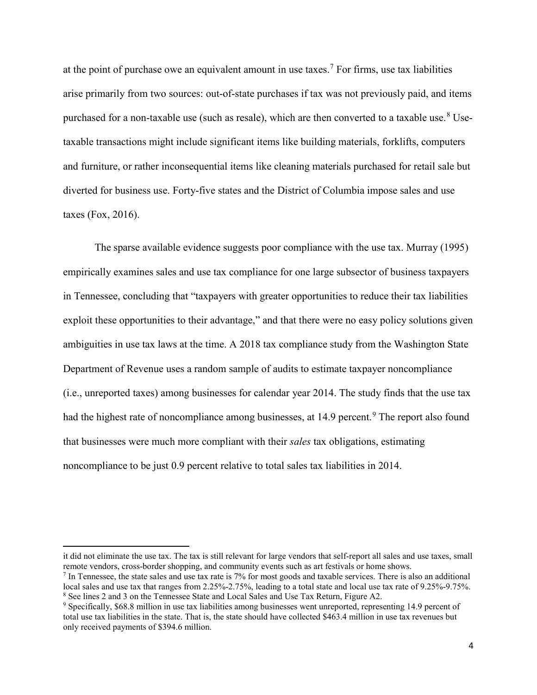at the point of purchase owe an equivalent amount in use taxes.<sup>[7](#page-3-0)</sup> For firms, use tax liabilities arise primarily from two sources: out-of-state purchases if tax was not previously paid, and items purchased for a non-taxable use (such as resale), which are then converted to a taxable use.<sup>[8](#page-3-1)</sup> Usetaxable transactions might include significant items like building materials, forklifts, computers and furniture, or rather inconsequential items like cleaning materials purchased for retail sale but diverted for business use. Forty-five states and the District of Columbia impose sales and use taxes (Fox, 2016).

The sparse available evidence suggests poor compliance with the use tax. Murray (1995) empirically examines sales and use tax compliance for one large subsector of business taxpayers in Tennessee, concluding that "taxpayers with greater opportunities to reduce their tax liabilities exploit these opportunities to their advantage," and that there were no easy policy solutions given ambiguities in use tax laws at the time. A 2018 tax compliance study from the Washington State Department of Revenue uses a random sample of audits to estimate taxpayer noncompliance (i.e., unreported taxes) among businesses for calendar year 2014. The study finds that the use tax had the highest rate of noncompliance among businesses, at 14.[9](#page-3-2) percent.<sup>9</sup> The report also found that businesses were much more compliant with their *sales* tax obligations, estimating noncompliance to be just 0.9 percent relative to total sales tax liabilities in 2014.

it did not eliminate the use tax. The tax is still relevant for large vendors that self-report all sales and use taxes, small remote vendors, cross-border shopping, and community events such as art festivals or home shows.

<span id="page-3-0"></span> $<sup>7</sup>$  In Tennessee, the state sales and use tax rate is 7% for most goods and taxable services. There is also an additional</sup> local sales and use tax that ranges from 2.25%-2.75%, leading to a total state and local use tax rate of 9.25%-9.75%.<br>
<sup>8</sup> See lines 2 and 3 on the Tennessee State and Local Sales and Use Tax Return, Figure A2.<br>
<sup>9</sup> Specif

<span id="page-3-2"></span><span id="page-3-1"></span>total use tax liabilities in the state. That is, the state should have collected \$463.4 million in use tax revenues but only received payments of \$394.6 million.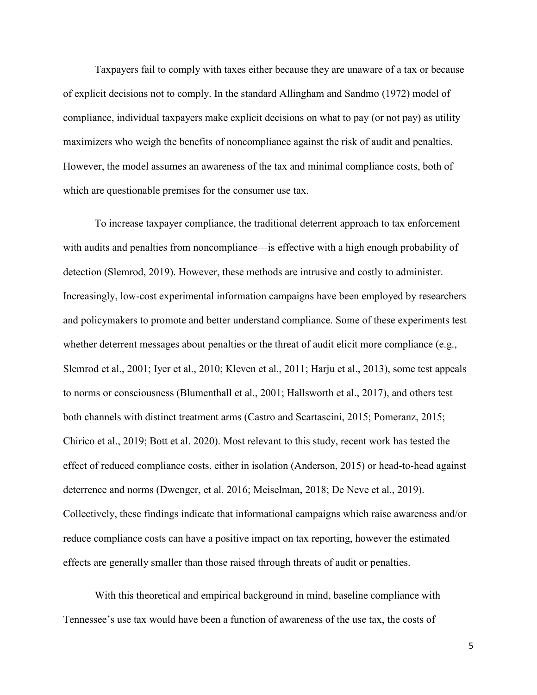Taxpayers fail to comply with taxes either because they are unaware of a tax or because of explicit decisions not to comply. In the standard Allingham and Sandmo (1972) model of compliance, individual taxpayers make explicit decisions on what to pay (or not pay) as utility maximizers who weigh the benefits of noncompliance against the risk of audit and penalties. However, the model assumes an awareness of the tax and minimal compliance costs, both of which are questionable premises for the consumer use tax.

To increase taxpayer compliance, the traditional deterrent approach to tax enforcement with audits and penalties from noncompliance—is effective with a high enough probability of detection (Slemrod, 2019). However, these methods are intrusive and costly to administer. Increasingly, low-cost experimental information campaigns have been employed by researchers and policymakers to promote and better understand compliance. Some of these experiments test whether deterrent messages about penalties or the threat of audit elicit more compliance (e.g., Slemrod et al., 2001; Iyer et al., 2010; Kleven et al., 2011; Harju et al., 2013), some test appeals to norms or consciousness (Blumenthall et al., 2001; Hallsworth et al., 2017), and others test both channels with distinct treatment arms (Castro and Scartascini, 2015; Pomeranz, 2015; Chirico et al., 2019; Bott et al. 2020). Most relevant to this study, recent work has tested the effect of reduced compliance costs, either in isolation (Anderson, 2015) or head-to-head against deterrence and norms (Dwenger, et al. 2016; Meiselman, 2018; De Neve et al., 2019). Collectively, these findings indicate that informational campaigns which raise awareness and/or reduce compliance costs can have a positive impact on tax reporting, however the estimated effects are generally smaller than those raised through threats of audit or penalties.

With this theoretical and empirical background in mind, baseline compliance with Tennessee's use tax would have been a function of awareness of the use tax, the costs of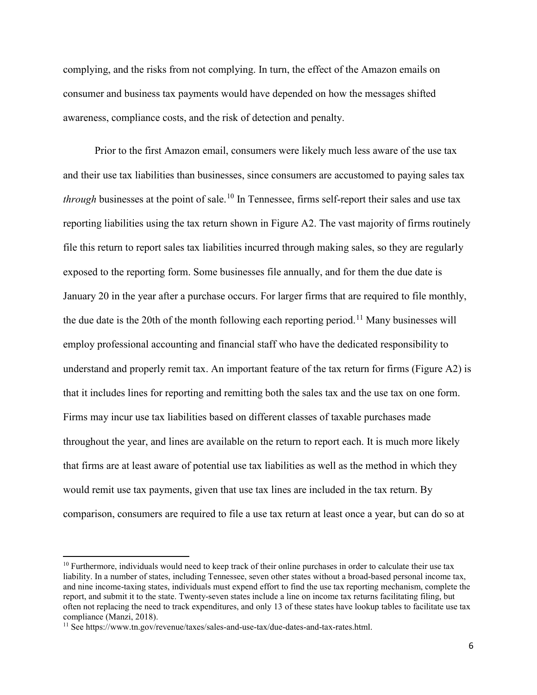complying, and the risks from not complying. In turn, the effect of the Amazon emails on consumer and business tax payments would have depended on how the messages shifted awareness, compliance costs, and the risk of detection and penalty.

Prior to the first Amazon email, consumers were likely much less aware of the use tax and their use tax liabilities than businesses, since consumers are accustomed to paying sales tax *through* businesses at the point of sale.<sup>[10](#page-5-0)</sup> In Tennessee, firms self-report their sales and use tax reporting liabilities using the tax return shown in Figure A2. The vast majority of firms routinely file this return to report sales tax liabilities incurred through making sales, so they are regularly exposed to the reporting form. Some businesses file annually, and for them the due date is January 20 in the year after a purchase occurs. For larger firms that are required to file monthly, the due date is the 20th of the month following each reporting period.<sup>[11](#page-5-1)</sup> Many businesses will employ professional accounting and financial staff who have the dedicated responsibility to understand and properly remit tax. An important feature of the tax return for firms (Figure A2) is that it includes lines for reporting and remitting both the sales tax and the use tax on one form. Firms may incur use tax liabilities based on different classes of taxable purchases made throughout the year, and lines are available on the return to report each. It is much more likely that firms are at least aware of potential use tax liabilities as well as the method in which they would remit use tax payments, given that use tax lines are included in the tax return. By comparison, consumers are required to file a use tax return at least once a year, but can do so at

<span id="page-5-0"></span> $10$  Furthermore, individuals would need to keep track of their online purchases in order to calculate their use tax liability. In a number of states, including Tennessee, seven other states without a broad-based personal income tax, and nine income-taxing states, individuals must expend effort to find the use tax reporting mechanism, complete the report, and submit it to the state. Twenty-seven states include a line on income tax returns facilitating filing, but often not replacing the need to track expenditures, and only 13 of these states have lookup tables to facilitate use tax compliance (Manzi, 2018).

<span id="page-5-1"></span><sup>11</sup> See [https://www.tn.gov/revenue/taxes/sales-and-use-tax/due-dates-and-tax-rates.html.](https://www.tn.gov/revenue/taxes/sales-and-use-tax/due-dates-and-tax-rates.html)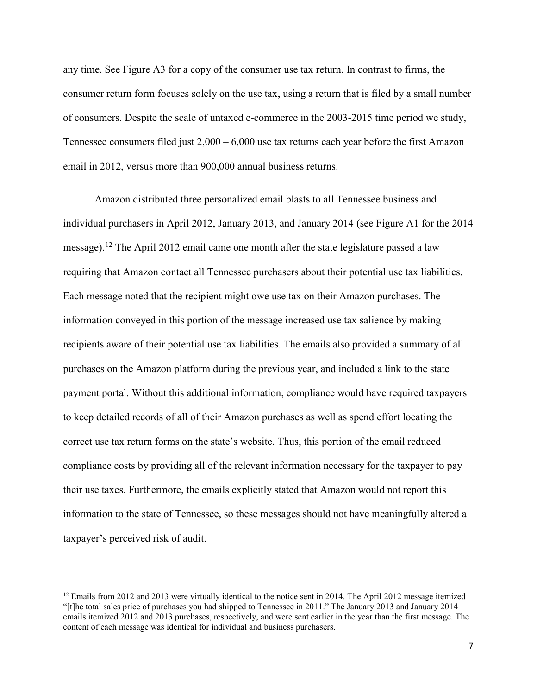any time. See Figure A3 for a copy of the consumer use tax return. In contrast to firms, the consumer return form focuses solely on the use tax, using a return that is filed by a small number of consumers. Despite the scale of untaxed e-commerce in the 2003-2015 time period we study, Tennessee consumers filed just 2,000 – 6,000 use tax returns each year before the first Amazon email in 2012, versus more than 900,000 annual business returns.

Amazon distributed three personalized email blasts to all Tennessee business and individual purchasers in April 2012, January 2013, and January 2014 (see Figure A1 for the 2014 message).<sup>[12](#page-6-0)</sup> The April 2012 email came one month after the state legislature passed a law requiring that Amazon contact all Tennessee purchasers about their potential use tax liabilities. Each message noted that the recipient might owe use tax on their Amazon purchases. The information conveyed in this portion of the message increased use tax salience by making recipients aware of their potential use tax liabilities. The emails also provided a summary of all purchases on the Amazon platform during the previous year, and included a link to the state payment portal. Without this additional information, compliance would have required taxpayers to keep detailed records of all of their Amazon purchases as well as spend effort locating the correct use tax return forms on the state's website. Thus, this portion of the email reduced compliance costs by providing all of the relevant information necessary for the taxpayer to pay their use taxes. Furthermore, the emails explicitly stated that Amazon would not report this information to the state of Tennessee, so these messages should not have meaningfully altered a taxpayer's perceived risk of audit.

<span id="page-6-0"></span> $12$  Emails from 2012 and 2013 were virtually identical to the notice sent in 2014. The April 2012 message itemized "[t]he total sales price of purchases you had shipped to Tennessee in 2011." The January 2013 and January 2014 emails itemized 2012 and 2013 purchases, respectively, and were sent earlier in the year than the first message. The content of each message was identical for individual and business purchasers.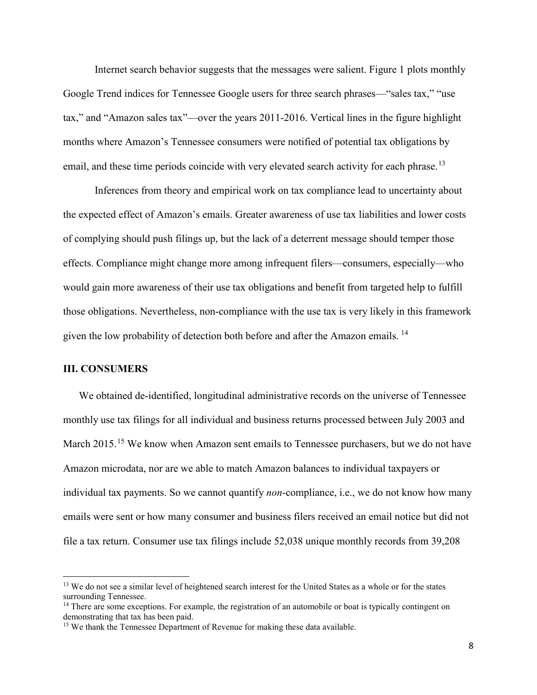Internet search behavior suggests that the messages were salient. Figure 1 plots monthly Google Trend indices for Tennessee Google users for three search phrases—"sales tax," "use tax," and "Amazon sales tax"—over the years 2011-2016. Vertical lines in the figure highlight months where Amazon's Tennessee consumers were notified of potential tax obligations by email, and these time periods coincide with very elevated search activity for each phrase.<sup>[13](#page-7-0)</sup>

Inferences from theory and empirical work on tax compliance lead to uncertainty about the expected effect of Amazon's emails. Greater awareness of use tax liabilities and lower costs of complying should push filings up, but the lack of a deterrent message should temper those effects. Compliance might change more among infrequent filers—consumers, especially—who would gain more awareness of their use tax obligations and benefit from targeted help to fulfill those obligations. Nevertheless, non-compliance with the use tax is very likely in this framework given the low probability of detection both before and after the Amazon emails. [14](#page-7-1)

#### **III. CONSUMERS**

 $\overline{\phantom{a}}$ 

We obtained de-identified, longitudinal administrative records on the universe of Tennessee monthly use tax filings for all individual and business returns processed between July 2003 and March 20[15](#page-7-2).<sup>15</sup> We know when Amazon sent emails to Tennessee purchasers, but we do not have Amazon microdata, nor are we able to match Amazon balances to individual taxpayers or individual tax payments. So we cannot quantify *non*-compliance, i.e., we do not know how many emails were sent or how many consumer and business filers received an email notice but did not file a tax return. Consumer use tax filings include 52,038 unique monthly records from 39,208

<span id="page-7-0"></span><sup>&</sup>lt;sup>13</sup> We do not see a similar level of heightened search interest for the United States as a whole or for the states surrounding Tennessee.

<span id="page-7-1"></span><sup>&</sup>lt;sup>14</sup> There are some exceptions. For example, the registration of an automobile or boat is typically contingent on demonstrating that tax has been paid.

<span id="page-7-2"></span><sup>&</sup>lt;sup>15</sup> We thank the Tennessee Department of Revenue for making these data available.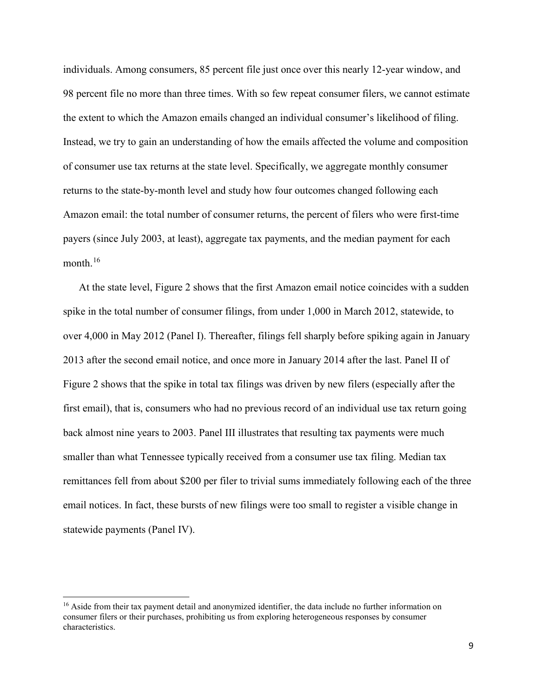individuals. Among consumers, 85 percent file just once over this nearly 12-year window, and 98 percent file no more than three times. With so few repeat consumer filers, we cannot estimate the extent to which the Amazon emails changed an individual consumer's likelihood of filing. Instead, we try to gain an understanding of how the emails affected the volume and composition of consumer use tax returns at the state level. Specifically, we aggregate monthly consumer returns to the state-by-month level and study how four outcomes changed following each Amazon email: the total number of consumer returns, the percent of filers who were first-time payers (since July 2003, at least), aggregate tax payments, and the median payment for each month. [16](#page-8-0)

At the state level, Figure 2 shows that the first Amazon email notice coincides with a sudden spike in the total number of consumer filings, from under 1,000 in March 2012, statewide, to over 4,000 in May 2012 (Panel I). Thereafter, filings fell sharply before spiking again in January 2013 after the second email notice, and once more in January 2014 after the last. Panel II of Figure 2 shows that the spike in total tax filings was driven by new filers (especially after the first email), that is, consumers who had no previous record of an individual use tax return going back almost nine years to 2003. Panel III illustrates that resulting tax payments were much smaller than what Tennessee typically received from a consumer use tax filing. Median tax remittances fell from about \$200 per filer to trivial sums immediately following each of the three email notices. In fact, these bursts of new filings were too small to register a visible change in statewide payments (Panel IV).

<span id="page-8-0"></span><sup>&</sup>lt;sup>16</sup> Aside from their tax payment detail and anonymized identifier, the data include no further information on consumer filers or their purchases, prohibiting us from exploring heterogeneous responses by consumer characteristics.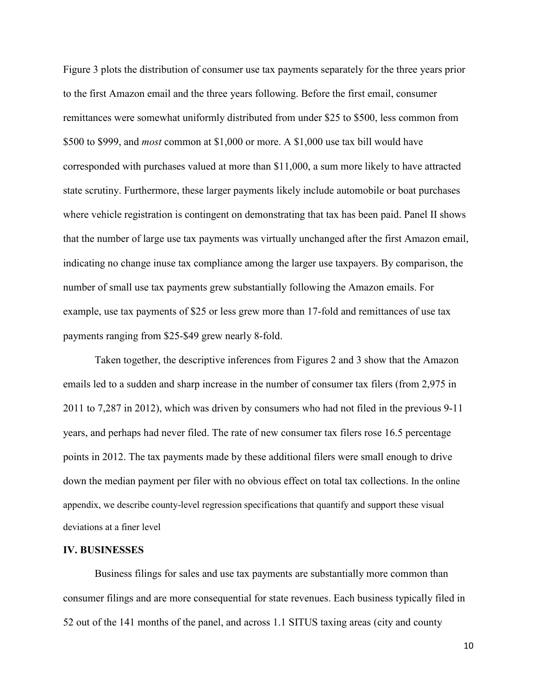Figure 3 plots the distribution of consumer use tax payments separately for the three years prior to the first Amazon email and the three years following. Before the first email, consumer remittances were somewhat uniformly distributed from under \$25 to \$500, less common from \$500 to \$999, and *most* common at \$1,000 or more. A \$1,000 use tax bill would have corresponded with purchases valued at more than \$11,000, a sum more likely to have attracted state scrutiny. Furthermore, these larger payments likely include automobile or boat purchases where vehicle registration is contingent on demonstrating that tax has been paid. Panel II shows that the number of large use tax payments was virtually unchanged after the first Amazon email, indicating no change inuse tax compliance among the larger use taxpayers. By comparison, the number of small use tax payments grew substantially following the Amazon emails. For example, use tax payments of \$25 or less grew more than 17-fold and remittances of use tax payments ranging from \$25-\$49 grew nearly 8-fold.

Taken together, the descriptive inferences from Figures 2 and 3 show that the Amazon emails led to a sudden and sharp increase in the number of consumer tax filers (from 2,975 in 2011 to 7,287 in 2012), which was driven by consumers who had not filed in the previous 9-11 years, and perhaps had never filed. The rate of new consumer tax filers rose 16.5 percentage points in 2012. The tax payments made by these additional filers were small enough to drive down the median payment per filer with no obvious effect on total tax collections. In the online appendix, we describe county-level regression specifications that quantify and support these visual deviations at a finer level

## **IV. BUSINESSES**

Business filings for sales and use tax payments are substantially more common than consumer filings and are more consequential for state revenues. Each business typically filed in 52 out of the 141 months of the panel, and across 1.1 SITUS taxing areas (city and county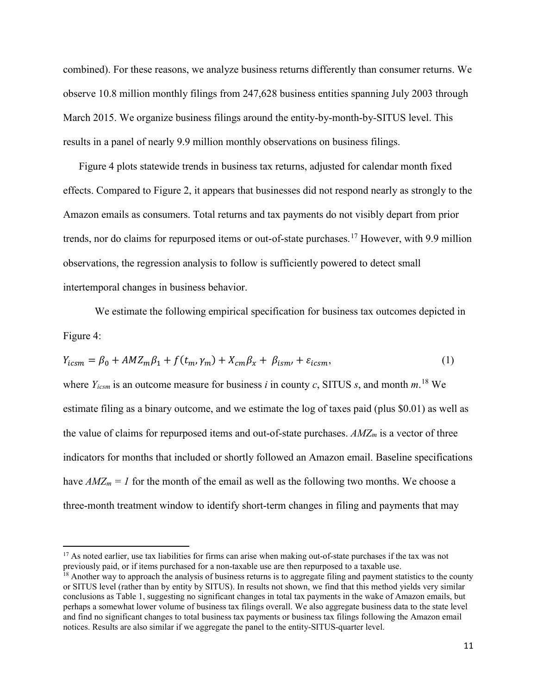combined). For these reasons, we analyze business returns differently than consumer returns. We observe 10.8 million monthly filings from 247,628 business entities spanning July 2003 through March 2015. We organize business filings around the entity-by-month-by-SITUS level. This results in a panel of nearly 9.9 million monthly observations on business filings.

Figure 4 plots statewide trends in business tax returns, adjusted for calendar month fixed effects. Compared to Figure 2, it appears that businesses did not respond nearly as strongly to the Amazon emails as consumers. Total returns and tax payments do not visibly depart from prior trends, nor do claims for repurposed items or out-of-state purchases.[17](#page-10-0) However, with 9.9 million observations, the regression analysis to follow is sufficiently powered to detect small intertemporal changes in business behavior.

We estimate the following empirical specification for business tax outcomes depicted in Figure 4:

$$
Y_{icsm} = \beta_0 + AMZ_m\beta_1 + f(t_m, \gamma_m) + X_{cm}\beta_x + \beta_{ism} + \varepsilon_{icsm},\tag{1}
$$

where  $Y_{icsm}$  is an outcome measure for business *i* in county *c*, SITUS *s*, and month *m*.<sup>[18](#page-10-1)</sup> We estimate filing as a binary outcome, and we estimate the log of taxes paid (plus \$0.01) as well as the value of claims for repurposed items and out-of-state purchases. *AMZm* is a vector of three indicators for months that included or shortly followed an Amazon email. Baseline specifications have  $AMZ_m = 1$  for the month of the email as well as the following two months. We choose a three-month treatment window to identify short-term changes in filing and payments that may

<span id="page-10-0"></span> $17$  As noted earlier, use tax liabilities for firms can arise when making out-of-state purchases if the tax was not previously paid, or if items purchased for a non-taxable use are then repurposed to a taxable use.

<span id="page-10-1"></span> $18$  Another way to approach the analysis of business returns is to aggregate filing and payment statistics to the county or SITUS level (rather than by entity by SITUS). In results not shown, we find that this method yields very similar conclusions as Table 1, suggesting no significant changes in total tax payments in the wake of Amazon emails, but perhaps a somewhat lower volume of business tax filings overall. We also aggregate business data to the state level and find no significant changes to total business tax payments or business tax filings following the Amazon email notices. Results are also similar if we aggregate the panel to the entity-SITUS-quarter level.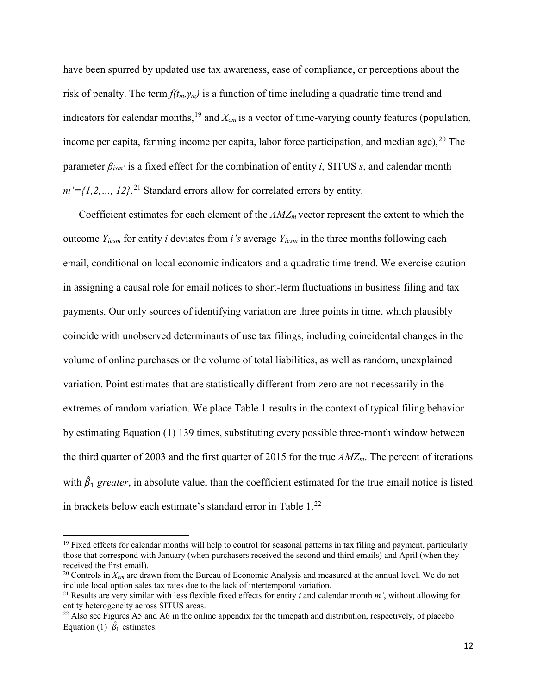have been spurred by updated use tax awareness, ease of compliance, or perceptions about the risk of penalty. The term *f(tm,γm)* is a function of time including a quadratic time trend and indicators for calendar months, <sup>[19](#page-11-0)</sup> and  $X_{cm}$  is a vector of time-varying county features (population, income per capita, farming income per capita, labor force participation, and median age),<sup>[20](#page-11-1)</sup> The parameter *βism'* is a fixed effect for the combination of entity *i*, SITUS *s*, and calendar month  $m' = \{1, 2, ..., 12\}$ <sup>[21](#page-11-2)</sup> Standard errors allow for correlated errors by entity.

Coefficient estimates for each element of the  $AMZ_m$  vector represent the extent to which the outcome *Yicsm* for entity *i* deviates from *i's* average *Yicsm* in the three months following each email, conditional on local economic indicators and a quadratic time trend. We exercise caution in assigning a causal role for email notices to short-term fluctuations in business filing and tax payments. Our only sources of identifying variation are three points in time, which plausibly coincide with unobserved determinants of use tax filings, including coincidental changes in the volume of online purchases or the volume of total liabilities, as well as random, unexplained variation. Point estimates that are statistically different from zero are not necessarily in the extremes of random variation. We place Table 1 results in the context of typical filing behavior by estimating Equation (1) 139 times, substituting every possible three-month window between the third quarter of 2003 and the first quarter of 2015 for the true *AMZm*. The percent of iterations with  $\beta_1$  *greater*, in absolute value, than the coefficient estimated for the true email notice is listed in brackets below each estimate's standard error in Table 1.[22](#page-11-3)

 $\overline{a}$ 

<span id="page-11-0"></span><sup>&</sup>lt;sup>19</sup> Fixed effects for calendar months will help to control for seasonal patterns in tax filing and payment, particularly those that correspond with January (when purchasers received the second and third emails) and April (when they received the first email).

<span id="page-11-1"></span><sup>&</sup>lt;sup>20</sup> Controls in  $X_{cm}$  are drawn from the Bureau of Economic Analysis and measured at the annual level. We do not include local option sales tax rates due to the lack of intertemporal variation.

<span id="page-11-2"></span><sup>21</sup> Results are very similar with less flexible fixed effects for entity *i* and calendar month *m'*, without allowing for entity heterogeneity across SITUS areas.

<span id="page-11-3"></span><sup>&</sup>lt;sup>22</sup> Also see Figures A5 and A6 in the online appendix for the timepath and distribution, respectively, of placebo Equation (1)  $\beta_1$  estimates.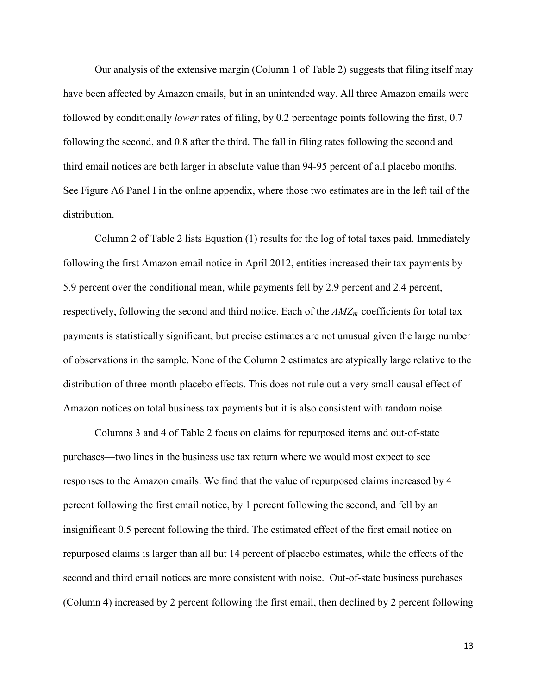Our analysis of the extensive margin (Column 1 of Table 2) suggests that filing itself may have been affected by Amazon emails, but in an unintended way. All three Amazon emails were followed by conditionally *lower* rates of filing, by 0.2 percentage points following the first, 0.7 following the second, and 0.8 after the third. The fall in filing rates following the second and third email notices are both larger in absolute value than 94-95 percent of all placebo months. See Figure A6 Panel I in the online appendix, where those two estimates are in the left tail of the distribution.

Column 2 of Table 2 lists Equation (1) results for the log of total taxes paid. Immediately following the first Amazon email notice in April 2012, entities increased their tax payments by 5.9 percent over the conditional mean, while payments fell by 2.9 percent and 2.4 percent, respectively, following the second and third notice. Each of the *AMZm* coefficients for total tax payments is statistically significant, but precise estimates are not unusual given the large number of observations in the sample. None of the Column 2 estimates are atypically large relative to the distribution of three-month placebo effects. This does not rule out a very small causal effect of Amazon notices on total business tax payments but it is also consistent with random noise.

Columns 3 and 4 of Table 2 focus on claims for repurposed items and out-of-state purchases—two lines in the business use tax return where we would most expect to see responses to the Amazon emails. We find that the value of repurposed claims increased by 4 percent following the first email notice, by 1 percent following the second, and fell by an insignificant 0.5 percent following the third. The estimated effect of the first email notice on repurposed claims is larger than all but 14 percent of placebo estimates, while the effects of the second and third email notices are more consistent with noise. Out-of-state business purchases (Column 4) increased by 2 percent following the first email, then declined by 2 percent following

13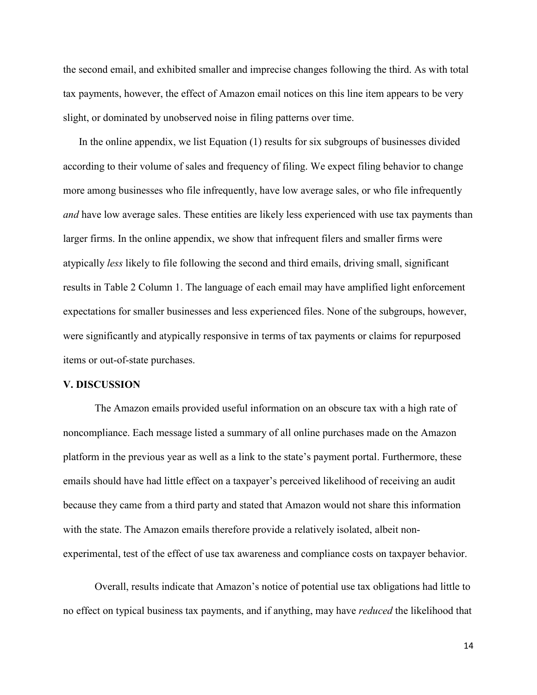the second email, and exhibited smaller and imprecise changes following the third. As with total tax payments, however, the effect of Amazon email notices on this line item appears to be very slight, or dominated by unobserved noise in filing patterns over time.

In the online appendix, we list Equation (1) results for six subgroups of businesses divided according to their volume of sales and frequency of filing. We expect filing behavior to change more among businesses who file infrequently, have low average sales, or who file infrequently *and* have low average sales. These entities are likely less experienced with use tax payments than larger firms. In the online appendix, we show that infrequent filers and smaller firms were atypically *less* likely to file following the second and third emails, driving small, significant results in Table 2 Column 1. The language of each email may have amplified light enforcement expectations for smaller businesses and less experienced files. None of the subgroups, however, were significantly and atypically responsive in terms of tax payments or claims for repurposed items or out-of-state purchases.

#### **V. DISCUSSION**

The Amazon emails provided useful information on an obscure tax with a high rate of noncompliance. Each message listed a summary of all online purchases made on the Amazon platform in the previous year as well as a link to the state's payment portal. Furthermore, these emails should have had little effect on a taxpayer's perceived likelihood of receiving an audit because they came from a third party and stated that Amazon would not share this information with the state. The Amazon emails therefore provide a relatively isolated, albeit nonexperimental, test of the effect of use tax awareness and compliance costs on taxpayer behavior.

Overall, results indicate that Amazon's notice of potential use tax obligations had little to no effect on typical business tax payments, and if anything, may have *reduced* the likelihood that

14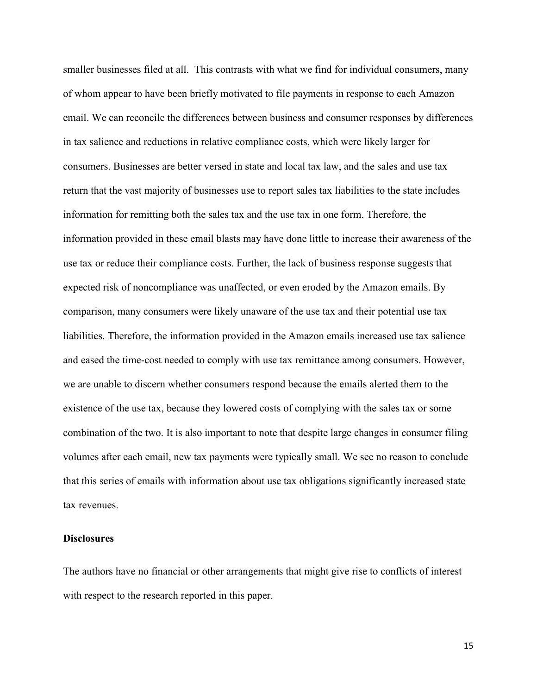smaller businesses filed at all. This contrasts with what we find for individual consumers, many of whom appear to have been briefly motivated to file payments in response to each Amazon email. We can reconcile the differences between business and consumer responses by differences in tax salience and reductions in relative compliance costs, which were likely larger for consumers. Businesses are better versed in state and local tax law, and the sales and use tax return that the vast majority of businesses use to report sales tax liabilities to the state includes information for remitting both the sales tax and the use tax in one form. Therefore, the information provided in these email blasts may have done little to increase their awareness of the use tax or reduce their compliance costs. Further, the lack of business response suggests that expected risk of noncompliance was unaffected, or even eroded by the Amazon emails. By comparison, many consumers were likely unaware of the use tax and their potential use tax liabilities. Therefore, the information provided in the Amazon emails increased use tax salience and eased the time-cost needed to comply with use tax remittance among consumers. However, we are unable to discern whether consumers respond because the emails alerted them to the existence of the use tax, because they lowered costs of complying with the sales tax or some combination of the two. It is also important to note that despite large changes in consumer filing volumes after each email, new tax payments were typically small. We see no reason to conclude that this series of emails with information about use tax obligations significantly increased state tax revenues.

#### **Disclosures**

The authors have no financial or other arrangements that might give rise to conflicts of interest with respect to the research reported in this paper.

15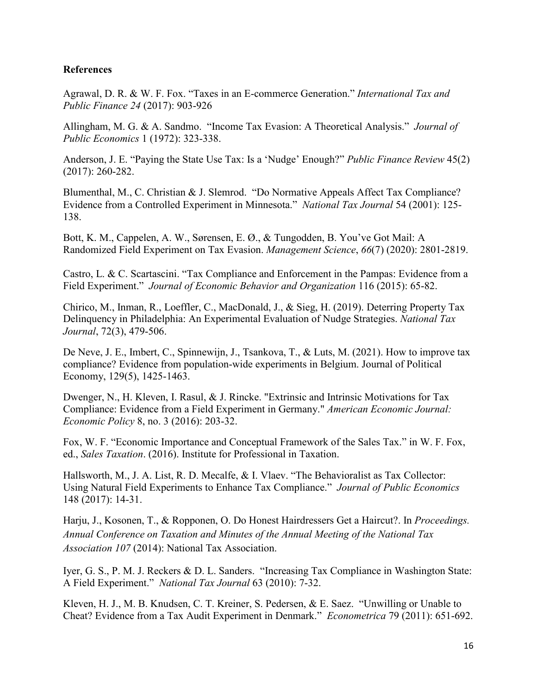# **References**

Agrawal, D. R. & W. F. Fox. "Taxes in an E-commerce Generation." *International Tax and Public Finance 24* (2017): 903-926

Allingham, M. G. & A. Sandmo. "Income Tax Evasion: A Theoretical Analysis." *Journal of Public Economics* 1 (1972): 323-338.

Anderson, J. E. "Paying the State Use Tax: Is a 'Nudge' Enough?" *Public Finance Review* 45(2) (2017): 260-282.

Blumenthal, M., C. Christian & J. Slemrod. "Do Normative Appeals Affect Tax Compliance? Evidence from a Controlled Experiment in Minnesota." *National Tax Journal* 54 (2001): 125- 138.

Bott, K. M., Cappelen, A. W., Sørensen, E. Ø., & Tungodden, B. You've Got Mail: A Randomized Field Experiment on Tax Evasion. *Management Science*, *66*(7) (2020): 2801-2819.

Castro, L. & C. Scartascini. "Tax Compliance and Enforcement in the Pampas: Evidence from a Field Experiment." *Journal of Economic Behavior and Organization* 116 (2015): 65-82.

Chirico, M., Inman, R., Loeffler, C., MacDonald, J., & Sieg, H. (2019). Deterring Property Tax Delinquency in Philadelphia: An Experimental Evaluation of Nudge Strategies. *National Tax Journal*, 72(3), 479-506.

De Neve, J. E., Imbert, C., Spinnewijn, J., Tsankova, T., & Luts, M. (2021). How to improve tax compliance? Evidence from population-wide experiments in Belgium. Journal of Political Economy, 129(5), 1425-1463.

Dwenger, N., H. Kleven, I. Rasul, & J. Rincke. "Extrinsic and Intrinsic Motivations for Tax Compliance: Evidence from a Field Experiment in Germany." *American Economic Journal: Economic Policy* 8, no. 3 (2016): 203-32.

Fox, W. F. "Economic Importance and Conceptual Framework of the Sales Tax." in W. F. Fox, ed., *Sales Taxation*. (2016). Institute for Professional in Taxation.

Hallsworth, M., J. A. List, R. D. Mecalfe, & I. Vlaev. "The Behavioralist as Tax Collector: Using Natural Field Experiments to Enhance Tax Compliance." *Journal of Public Economics* 148 (2017): 14-31.

Harju, J., Kosonen, T., & Ropponen, O. Do Honest Hairdressers Get a Haircut?. In *Proceedings. Annual Conference on Taxation and Minutes of the Annual Meeting of the National Tax Association 107* (2014): National Tax Association.

Iyer, G. S., P. M. J. Reckers & D. L. Sanders. "Increasing Tax Compliance in Washington State: A Field Experiment." *National Tax Journal* 63 (2010): 7-32.

Kleven, H. J., M. B. Knudsen, C. T. Kreiner, S. Pedersen, & E. Saez. "Unwilling or Unable to Cheat? Evidence from a Tax Audit Experiment in Denmark." *Econometrica* 79 (2011): 651-692.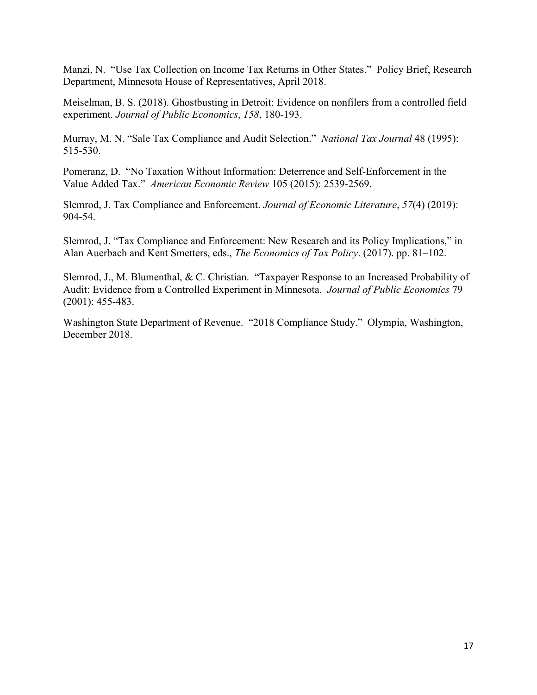Manzi, N. "Use Tax Collection on Income Tax Returns in Other States." Policy Brief, Research Department, Minnesota House of Representatives, April 2018.

Meiselman, B. S. (2018). Ghostbusting in Detroit: Evidence on nonfilers from a controlled field experiment. *Journal of Public Economics*, *158*, 180-193.

Murray, M. N. "Sale Tax Compliance and Audit Selection." *National Tax Journal* 48 (1995): 515-530.

Pomeranz, D. "No Taxation Without Information: Deterrence and Self-Enforcement in the Value Added Tax." *American Economic Review* 105 (2015): 2539-2569.

Slemrod, J. Tax Compliance and Enforcement. *Journal of Economic Literature*, *57*(4) (2019): 904-54.

Slemrod, J. "Tax Compliance and Enforcement: New Research and its Policy Implications," in Alan Auerbach and Kent Smetters, eds., *The Economics of Tax Policy*. (2017). pp. 81–102.

Slemrod, J., M. Blumenthal, & C. Christian. "Taxpayer Response to an Increased Probability of Audit: Evidence from a Controlled Experiment in Minnesota. *Journal of Public Economics* 79 (2001): 455-483.

Washington State Department of Revenue. "2018 Compliance Study." Olympia, Washington, December 2018.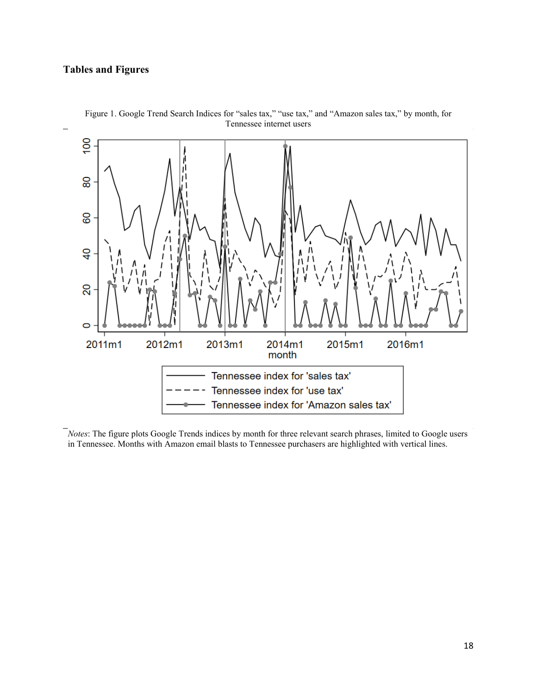# **Tables and Figures**



Figure 1. Google Trend Search Indices for "sales tax," "use tax," and "Amazon sales tax," by month, for Tennessee internet users

*Notes*: The figure plots Google Trends indices by month for three relevant search phrases, limited to Google users in Tennessee. Months with Amazon email blasts to Tennessee purchasers are highlighted with vertical lines.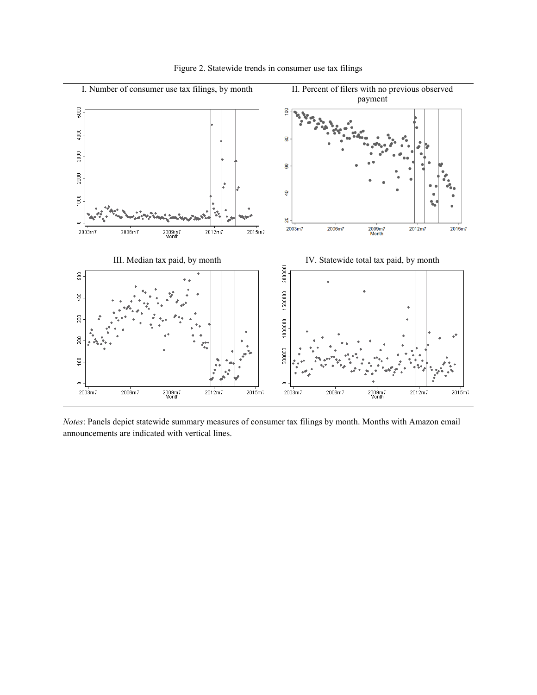

Figure 2. Statewide trends in consumer use tax filings

*Notes*: Panels depict statewide summary measures of consumer tax filings by month. Months with Amazon email announcements are indicated with vertical lines.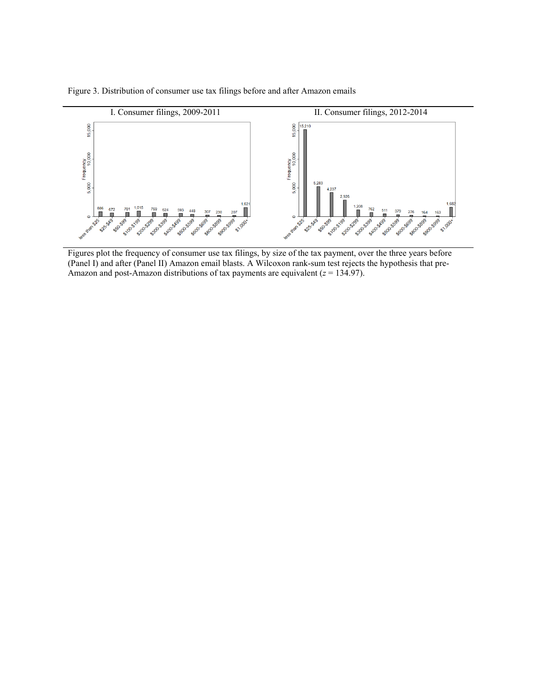Figure 3. Distribution of consumer use tax filings before and after Amazon emails



Figures plot the frequency of consumer use tax filings, by size of the tax payment, over the three years before (Panel I) and after (Panel II) Amazon email blasts. A Wilcoxon rank-sum test rejects the hypothesis that pre-Amazon and post-Amazon distributions of tax payments are equivalent (*z* = 134.97).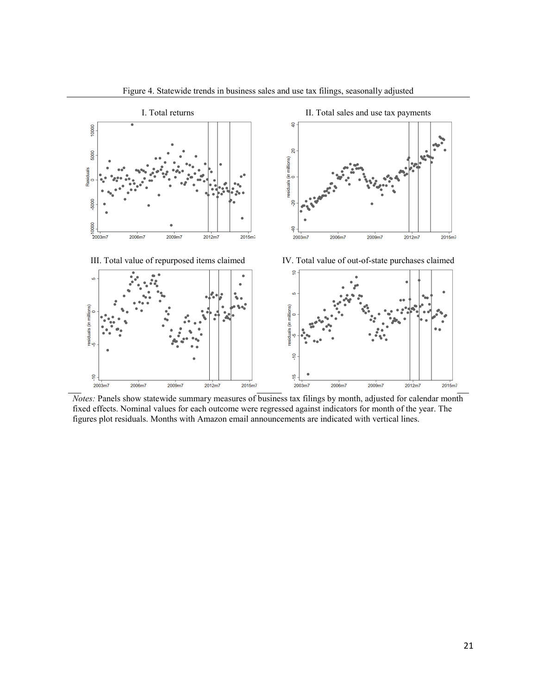

Figure 4. Statewide trends in business sales and use tax filings, seasonally adjusted

*Notes:* Panels show statewide summary measures of business tax filings by month, adjusted for calendar month fixed effects. Nominal values for each outcome were regressed against indicators for month of the year. The figures plot residuals. Months with Amazon email announcements are indicated with vertical lines.